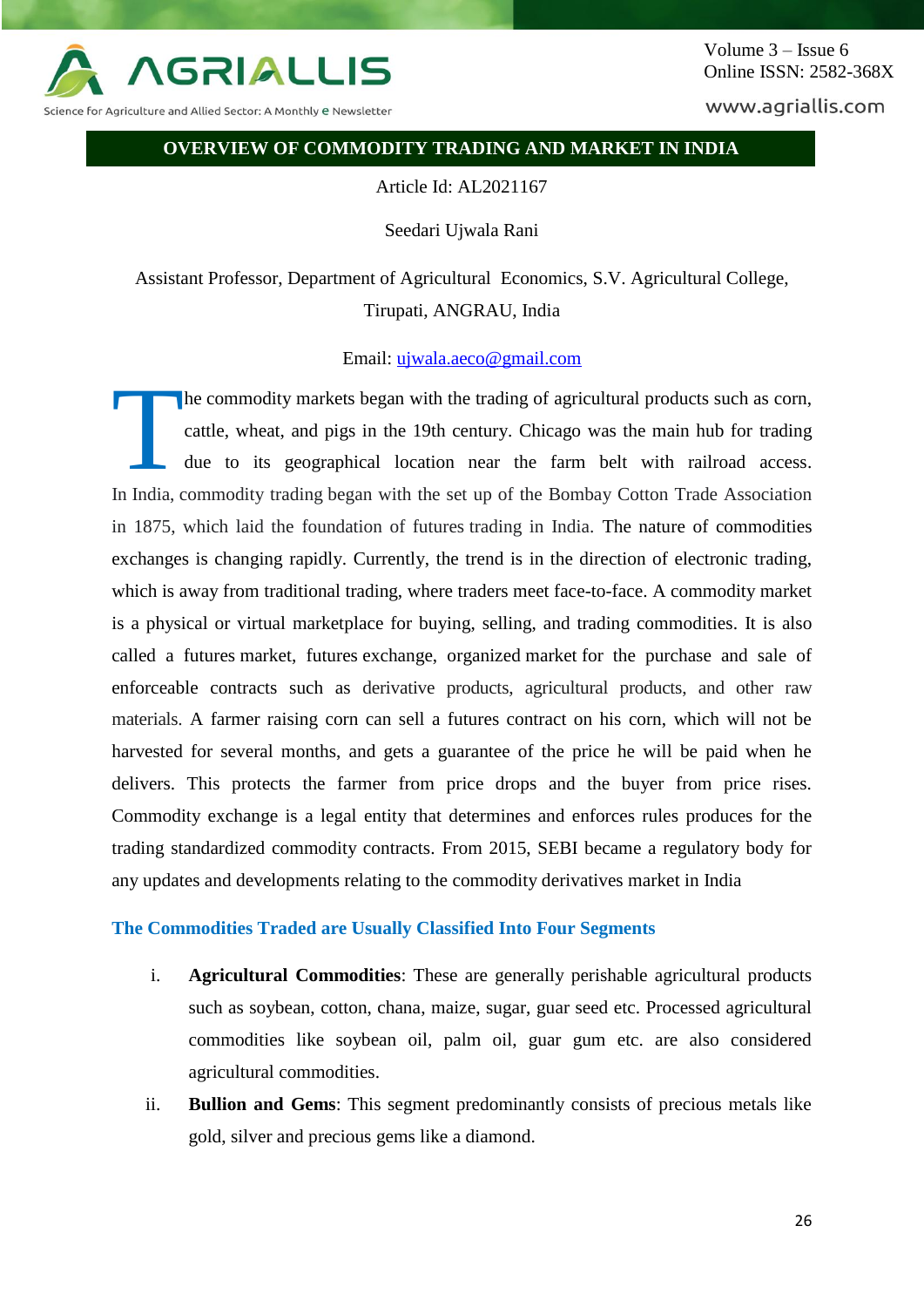

Science for Agriculture and Allied Sector: A Monthly <mark>e N</mark>ewsletter

www.agriallis.com

#### **OVERVIEW OF COMMODITY TRADING AND MARKET IN INDIA**

Article Id: AL2021167

Seedari Ujwala Rani

Assistant Professor, Department of Agricultural Economics, S.V. Agricultural College, Tirupati, ANGRAU, India

### Email: [ujwala.aeco@gmail.com](mailto:ujwala.aeco@gmail.com)

he commodity markets began with the trading of agricultural products such as corn, cattle, wheat, and pigs in the 19th century. Chicago was the main hub for trading due to its geographical location near the farm belt with railroad access. In India, commodity trading began with the set up of the Bombay Cotton Trade Association in 1875, which laid the foundation of futures trading in India. The nature of commodities exchanges is changing rapidly. Currently, the trend is in the direction of electronic trading, which is away from traditional trading, where traders meet face-to-face. A commodity market is a physical or virtual marketplace for buying, selling, and trading commodities. It is also called a futures market, futures exchange, organized market for the purchase and sale of enforceable contracts such as derivative products, agricultural products, and other raw materials. A farmer raising corn can sell a futures contract on his corn, which will not be harvested for several months, and gets a guarantee of the price he will be paid when he delivers. This protects the farmer from price drops and the buyer from price rises. Commodity exchange is a legal entity that determines and enforces rules produces for the trading standardized commodity contracts. From 2015, SEBI became a regulatory body for any updates and developments relating to the commodity derivatives market in India T

#### **The Commodities Traded are Usually Classified Into Four Segments**

- i. **Agricultural Commodities**: These are generally perishable agricultural products such as soybean, cotton, chana, maize, sugar, guar seed etc. Processed agricultural commodities like soybean oil, palm oil, guar gum etc. are also considered agricultural commodities.
- ii. **Bullion and Gems**: This segment predominantly consists of precious metals like gold, silver and precious gems like a diamond.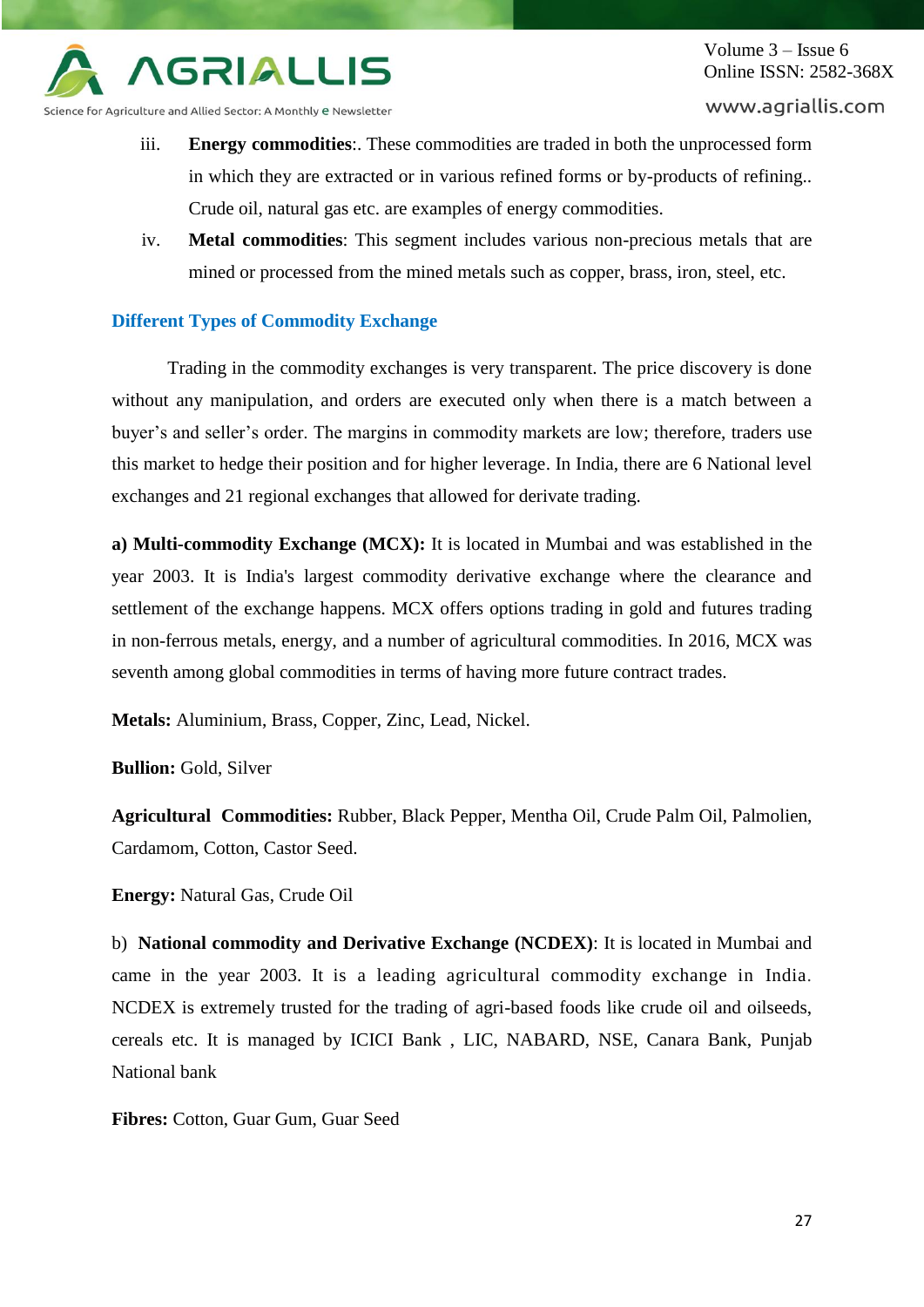

www.agriallis.com

Science for Agriculture and Allied Sector: A Monthly e Newsletter

- iii. **Energy commodities**:. These commodities are traded in both the unprocessed form in which they are extracted or in various refined forms or by-products of refining.. Crude oil, natural gas etc. are examples of energy commodities.
- iv. **Metal commodities**: This segment includes various non-precious metals that are mined or processed from the mined metals such as copper, brass, iron, steel, etc.

### **Different Types of Commodity Exchange**

Trading in the commodity exchanges is very transparent. The price discovery is done without any manipulation, and orders are executed only when there is a match between a buyer's and seller's order. The margins in commodity markets are low; therefore, traders use this market to hedge their position and for higher leverage. In India, there are 6 National level exchanges and 21 regional exchanges that allowed for derivate trading.

**a) Multi-commodity Exchange (MCX):** It is located in Mumbai and was established in the year 2003. It is India's largest commodity derivative exchange where the clearance and settlement of the exchange happens. MCX offers options trading in gold and futures trading in non-ferrous metals, energy, and a number of agricultural commodities. In 2016, MCX was seventh among global commodities in terms of having more future contract trades.

**Metals:** Aluminium, Brass, Copper, Zinc, Lead, Nickel.

**Bullion:** Gold, Silver

**Agricultural Commodities:** Rubber, Black Pepper, Mentha Oil, Crude Palm Oil, Palmolien, Cardamom, Cotton, Castor Seed.

**Energy:** Natural Gas, Crude Oil

b) **National commodity and Derivative Exchange (NCDEX)**: It is located in Mumbai and came in the year 2003. It is a leading agricultural commodity exchange in India. NCDEX is extremely trusted for the trading of agri-based foods like crude oil and oilseeds, cereals etc. It is managed by ICICI Bank , LIC, NABARD, NSE, Canara Bank, Punjab National bank

**Fibres:** Cotton, Guar Gum, Guar Seed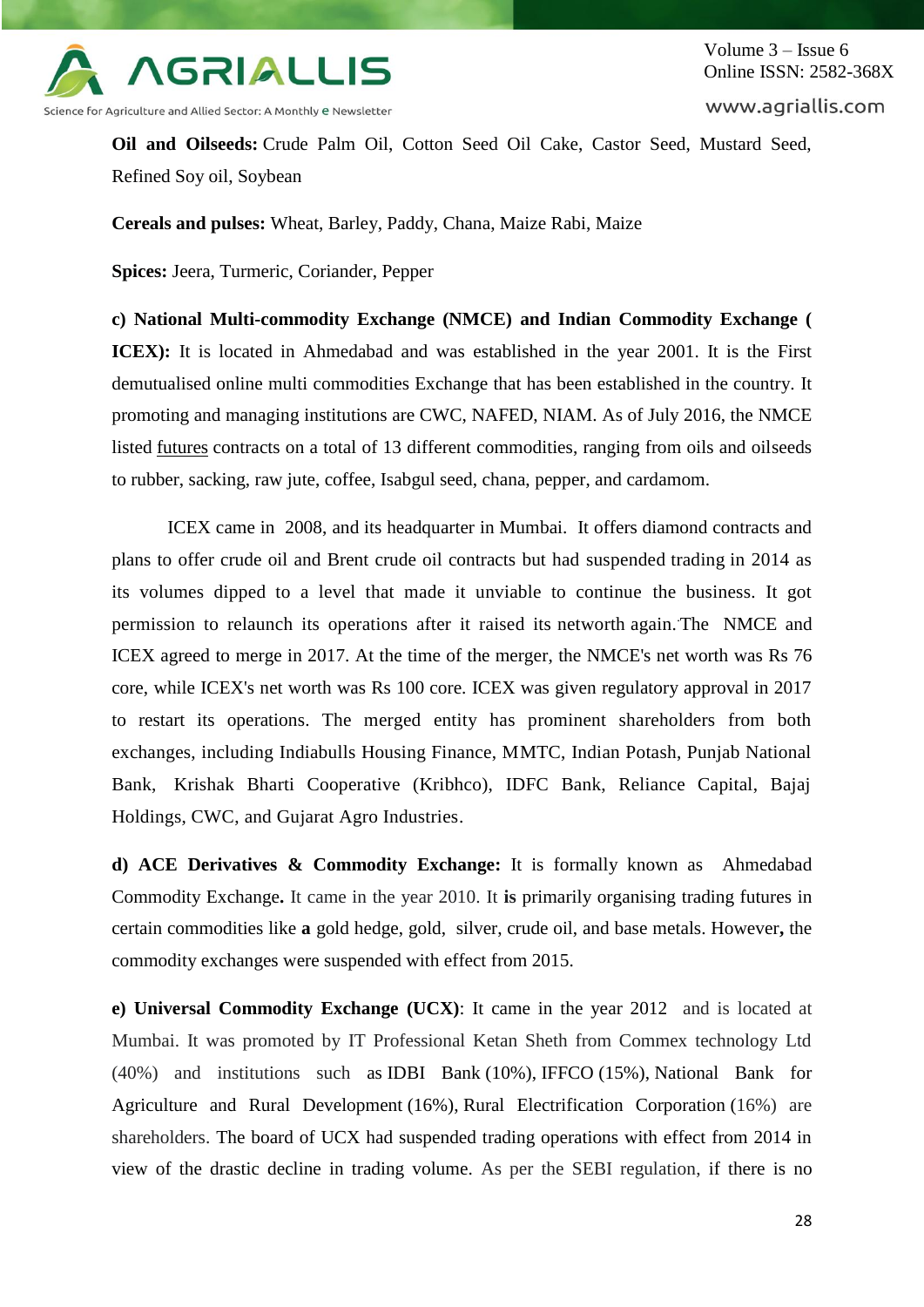

Volume 3 – Issue 6 Online ISSN: 2582-368X

www.agriallis.com

**Oil and Oilseeds:** Crude Palm Oil, Cotton Seed Oil Cake, Castor Seed, Mustard Seed, Refined Soy oil, Soybean

**Cereals and pulses:** Wheat, Barley, Paddy, Chana, Maize Rabi, Maize

**Spices:** Jeera, Turmeric, Coriander, Pepper

**c) National Multi-commodity Exchange (NMCE) and Indian Commodity Exchange ( ICEX):** It is located in Ahmedabad and was established in the year 2001. It is the First demutualised online multi commodities Exchange that has been established in the country. It promoting and managing institutions are CWC, NAFED, NIAM. As of July 2016, the NMCE listed [futures](http://www.marketswiki.com/wiki/Futures) contracts on a total of 13 different commodities, ranging from oils and oilseeds to rubber, sacking, raw jute, coffee, Isabgul seed, chana, pepper, and cardamom.

ICEX came in 2008, and its headquarter in Mumbai. It offers diamond contracts and plans to offer crude oil and Brent crude oil contracts but had suspended trading in 2014 as its volumes dipped to a level that made it unviable to continue the business. It got permission to relaunch its operations after it raised its networth again. The NMCE and ICEX agreed to merge in 2017. At the time of the merger, the NMCE's net worth was Rs 76 core, while ICEX's net worth was Rs 100 core. ICEX was given regulatory approval in 2017 to restart its operations. The merged entity has prominent shareholders from both exchanges, including Indiabulls Housing Finance, MMTC, Indian Potash, Punjab National Bank, Krishak Bharti Cooperative (Kribhco), IDFC Bank, Reliance Capital, Bajaj Holdings, CWC, and Gujarat Agro Industries.

**d) ACE Derivatives & Commodity Exchange:** It is formally known as Ahmedabad Commodity Exchange**.** It came in the year 2010. It **is** primarily organising trading futures in certain commodities like **a** gold hedge, gold, silver, crude oil, and base metals. However**,** the commodity exchanges were suspended with effect from 2015.

**e) Universal Commodity Exchange (UCX)**: It came in the year 2012 and is located at Mumbai. It was promoted by IT Professional Ketan Sheth from Commex technology Ltd (40%) and institutions such as IDBI Bank (10%), IFFCO (15%), National Bank for Agriculture and Rural Development (16%), Rural Electrification Corporation (16%) are shareholders. The board of UCX had suspended trading operations with effect from 2014 in view of the drastic decline in trading volume. As per the SEBI regulation, if there is no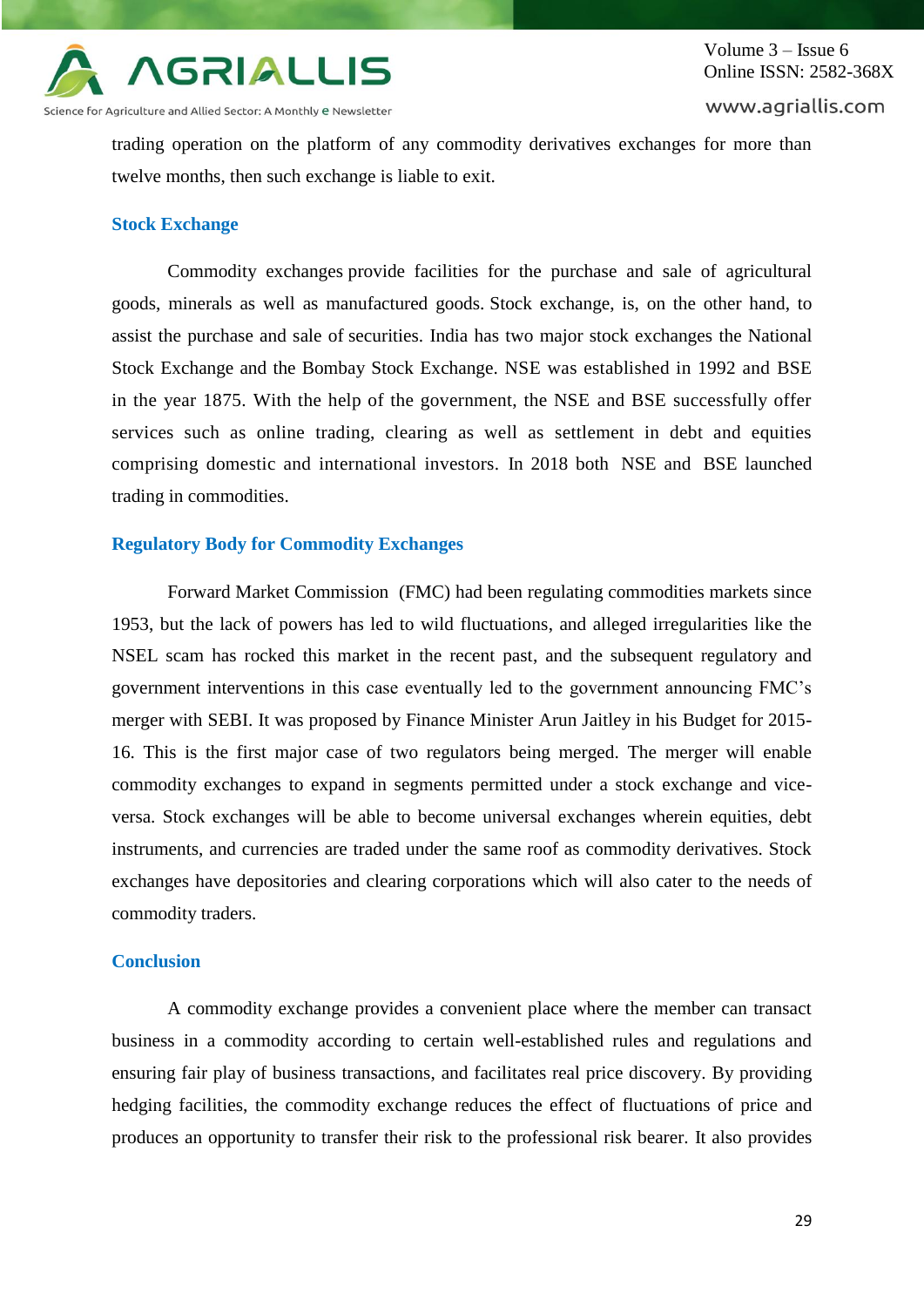

Science for Agriculture and Allied Sector: A Monthly e Newsletter

trading operation on the platform of any commodity derivatives exchanges for more than twelve months, then such exchange is liable to exit.

### **Stock Exchange**

Commodity exchanges provide facilities for the purchase and sale of agricultural goods, minerals as well as manufactured goods. Stock exchange, is, on the other hand, to assist the purchase and sale of securities. India has two major stock exchanges the National Stock Exchange and the Bombay Stock Exchange. NSE was established in 1992 and BSE in the year 1875. With the help of the government, the NSE and BSE successfully offer services such as online trading, clearing as well as settlement in debt and equities comprising domestic and international investors. In 2018 both NSE and BSE launched trading in commodities.

## **Regulatory Body for Commodity Exchanges**

Forward Market Commission (FMC) had been regulating commodities markets since 1953, but the lack of powers has led to wild fluctuations, and alleged irregularities like the NSEL scam has rocked this market in the recent past, and the subsequent regulatory and government interventions in this case eventually led to the government announcing FMC's merger with SEBI. It was proposed by Finance Minister Arun Jaitley in his Budget for 2015- 16. This is the first major case of two regulators being merged. The merger will enable commodity exchanges to expand in segments permitted under a stock exchange and viceversa. Stock exchanges will be able to become universal exchanges wherein equities, debt instruments, and currencies are traded under the same roof as commodity derivatives. Stock exchanges have depositories and clearing corporations which will also cater to the needs of commodity traders.

## **Conclusion**

A commodity exchange provides a convenient place where the member can transact business in a commodity according to certain well-established rules and regulations and ensuring fair play of business transactions, and facilitates real price discovery. By providing hedging facilities, the commodity exchange reduces the effect of fluctuations of price and produces an opportunity to transfer their risk to the professional risk bearer. It also provides